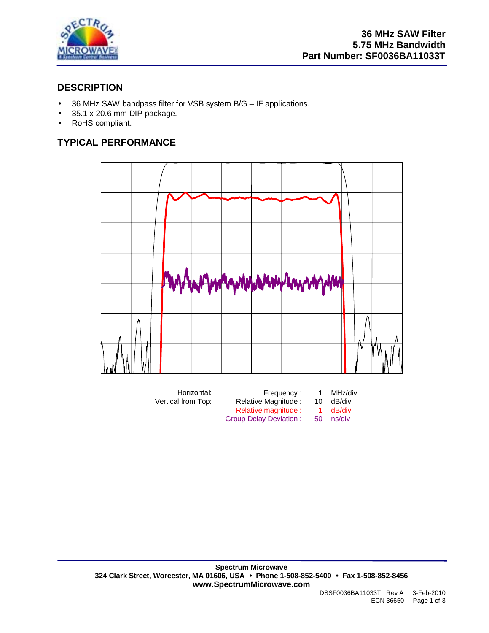

# **DESCRIPTION**

- 36 MHz SAW bandpass filter for VSB system B/G IF applications.
- 35.1 x 20.6 mm DIP package.
- RoHS compliant.

# **TYPICAL PERFORMANCE**



| Horizontal:        | Frequency:             |    | MHz/div |
|--------------------|------------------------|----|---------|
| Vertical from Top: | Relative Magnitude:    | 10 | dB/div  |
|                    | Relative magnitude :   |    | dB/div  |
|                    | Group Delay Deviation: | 50 | ns/div  |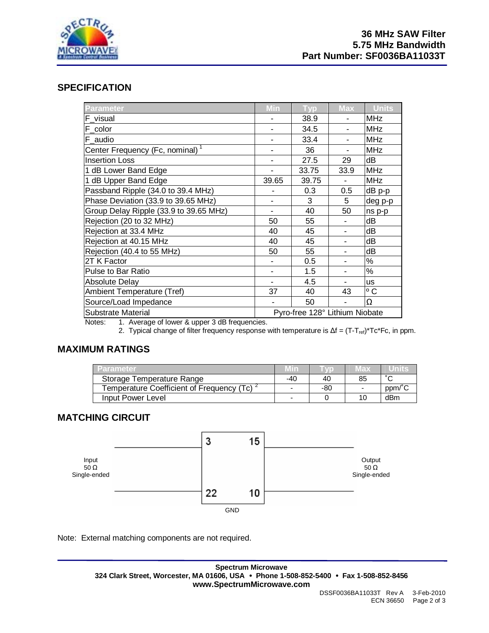

## **SPECIFICATION**

| <b>Parameter</b>                            | Min   | <b>Typ</b>                     | <b>Max</b> | <b>Units</b> |
|---------------------------------------------|-------|--------------------------------|------------|--------------|
| F_visual                                    |       | 38.9                           |            | <b>MHz</b>   |
| F_color                                     |       | 34.5                           |            | <b>MHz</b>   |
| F audio                                     |       | 33.4                           |            | <b>MHz</b>   |
| Center Frequency (Fc, nominal) <sup>1</sup> |       | 36                             |            | <b>MHz</b>   |
| <b>Insertion Loss</b>                       |       | 27.5                           | 29         | dB           |
| 1 dB Lower Band Edge                        |       | 33.75                          | 33.9       | <b>MHz</b>   |
| 1 dB Upper Band Edge                        | 39.65 | 39.75                          |            | <b>MHz</b>   |
| Passband Ripple (34.0 to 39.4 MHz)          |       | 0.3                            | 0.5        | dB p-p       |
| Phase Deviation (33.9 to 39.65 MHz)         |       | 3                              | 5          | deg p-p      |
| Group Delay Ripple (33.9 to 39.65 MHz)      |       | 40                             | 50         | ns p-p       |
| Rejection (20 to 32 MHz)                    | 50    | 55                             |            | dB           |
| Rejection at 33.4 MHz                       | 40    | 45                             |            | dB           |
| Rejection at 40.15 MHz                      | 40    | 45                             |            | dB           |
| Rejection (40.4 to 55 MHz)                  | 50    | 55                             |            | dB           |
| 2T K Factor                                 |       | 0.5                            |            | %            |
| <b>Pulse to Bar Ratio</b>                   |       | 1.5                            | ۰          | %            |
| Absolute Delay                              |       | 4.5                            | ۰          | <b>us</b>    |
| <b>Ambient Temperature (Tref)</b>           | 37    | 40                             | 43         | $\circ$ C    |
| Source/Load Impedance                       |       | 50                             |            | Ω            |
| <b>Substrate Material</b>                   |       | Pyro-free 128° Lithium Niobate |            |              |

Notes: 1. Average of lower & upper 3 dB frequencies.

2. Typical change of filter frequency response with temperature is  $\Delta f = (T-T_{ref})^*Tc^*Fc$ , in ppm.

# **MAXIMUM RATINGS**

| Parameter                                              | Min   |     | Max                      |        |
|--------------------------------------------------------|-------|-----|--------------------------|--------|
| Storage Temperature Range                              | $-40$ | 40  | 85                       | $\sim$ |
| Temperature Coefficient of Frequency (Tc) <sup>2</sup> | -     | -80 | $\overline{\phantom{0}}$ | bpm/ ∟ |
| Input Power Level                                      |       |     | 10                       | dBm    |

# **MATCHING CIRCUIT**



Note: External matching components are not required.

**Spectrum Microwave 324 Clark Street, Worcester, MA 01606, USA** • **Phone 1-508-852-5400** • **Fax 1-508-852-8456 www.SpectrumMicrowave.com**